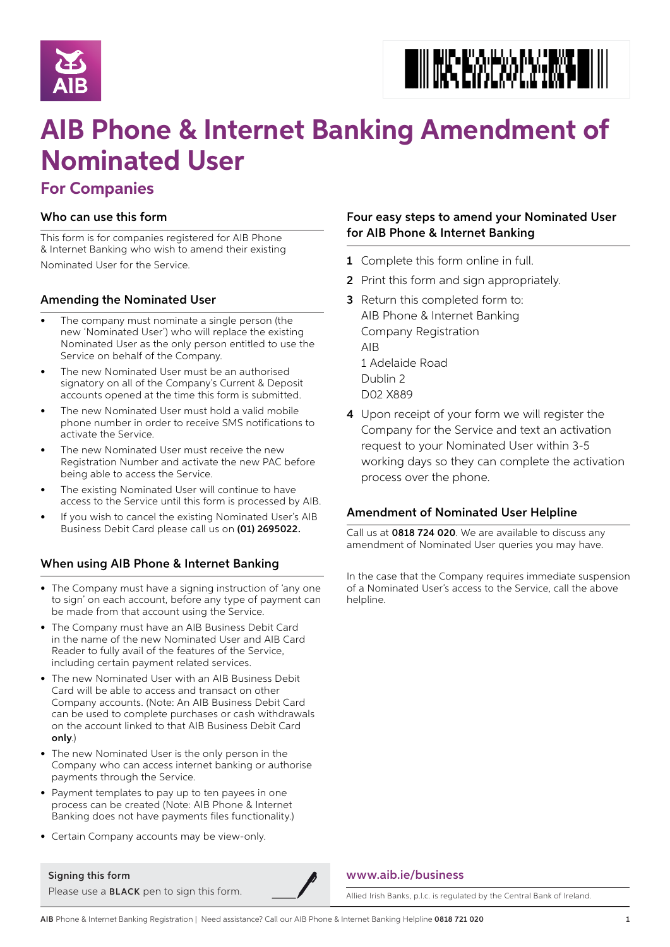



# **AIB Phone & Internet Banking Amendment of Nominated User**

# **For Companies**

# Who can use this form

This form is for companies registered for AIB Phone & Internet Banking who wish to amend their existing Nominated User for the Service.

# Amending the Nominated User

- The company must nominate a single person (the new 'Nominated User') who will replace the existing Nominated User as the only person entitled to use the Service on behalf of the Company.
- The new Nominated User must be an authorised signatory on all of the Company's Current & Deposit accounts opened at the time this form is submitted.
- The new Nominated User must hold a valid mobile phone number in order to receive SMS notifications to activate the Service.
- The new Nominated User must receive the new Registration Number and activate the new PAC before being able to access the Service.
- The existing Nominated User will continue to have access to the Service until this form is processed by AIB.
- If you wish to cancel the existing Nominated User's AIB Business Debit Card please call us on (01) 2695022.

# When using AIB Phone & Internet Banking

- The Company must have a signing instruction of 'any one to sign' on each account, before any type of payment can be made from that account using the Service.
- The Company must have an AIB Business Debit Card in the name of the new Nominated User and AIB Card Reader to fully avail of the features of the Service, including certain payment related services.
- The new Nominated User with an AIB Business Debit Card will be able to access and transact on other Company accounts. (Note: An AIB Business Debit Card can be used to complete purchases or cash withdrawals on the account linked to that AIB Business Debit Card only.)
- The new Nominated User is the only person in the Company who can access internet banking or authorise payments through the Service.
- Payment templates to pay up to ten payees in one process can be created (Note: AIB Phone & Internet Banking does not have payments files functionality.)
- Certain Company accounts may be view-only.

#### Signing this form

Please use a **BLACK** pen to sign this form.

# Four easy steps to amend your Nominated User for AIB Phone & Internet Banking

- 1 Complete this form online in full.
- 2 Print this form and sign appropriately.
- 3 Return this completed form to: AIB Phone & Internet Banking Company Registration AIB 1 Adelaide Road Dublin 2 D02 X889
- 4 Upon receipt of your form we will register the Company for the Service and text an activation request to your Nominated User within 3-5 working days so they can complete the activation process over the phone.

# Amendment of Nominated User Helpline

Call us at 0818 724 020. We are available to discuss any amendment of Nominated User queries you may have.

In the case that the Company requires immediate suspension of a Nominated User's access to the Service, call the above helpline.



Allied Irish Banks, p.l.c. is regulated by the Central Bank of Ireland.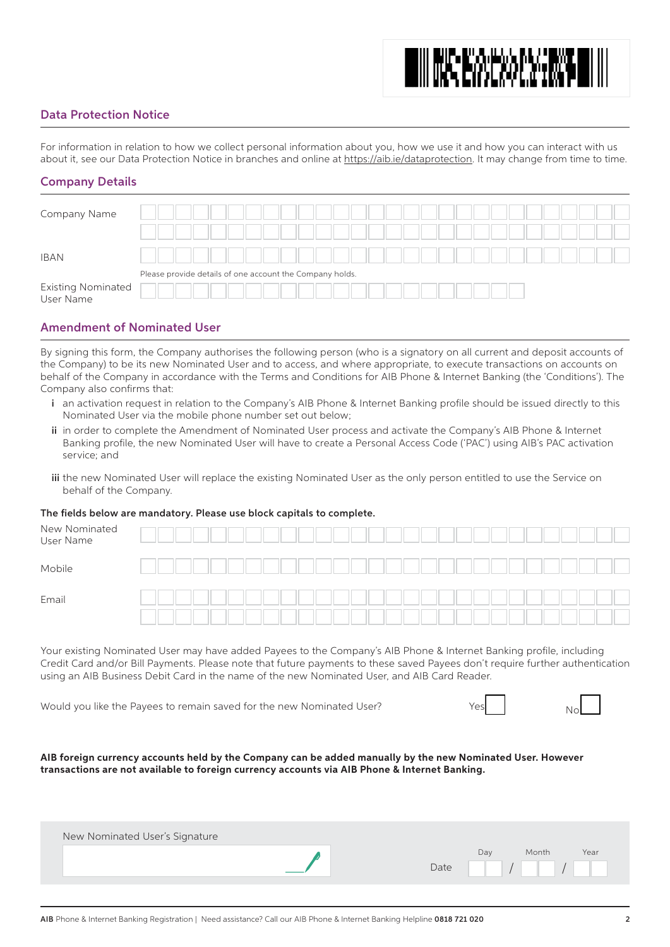# **MINE EXPERIENCE**

# Data Protection Notice

For information in relation to how we collect personal information about you, how we use it and how you can interact with us about it, see our Data Protection Notice in branches and online at https://aib.ie/dataprotection. It may change from time to time.

# Company Details

| Company Name                    |  |  |                                                          |  |  |  |  |  |  |  |  |  |  |  |
|---------------------------------|--|--|----------------------------------------------------------|--|--|--|--|--|--|--|--|--|--|--|
| <b>IBAN</b>                     |  |  |                                                          |  |  |  |  |  |  |  |  |  |  |  |
|                                 |  |  | Please provide details of one account the Company holds. |  |  |  |  |  |  |  |  |  |  |  |
| Existing Nominated<br>User Name |  |  |                                                          |  |  |  |  |  |  |  |  |  |  |  |

# Amendment of Nominated User

By signing this form, the Company authorises the following person (who is a signatory on all current and deposit accounts of the Company) to be its new Nominated User and to access, and where appropriate, to execute transactions on accounts on behalf of the Company in accordance with the Terms and Conditions for AIB Phone & Internet Banking (the 'Conditions'). The Company also confirms that:

- i an activation request in relation to the Company's AIB Phone & Internet Banking profile should be issued directly to this Nominated User via the mobile phone number set out below;
- ii in order to complete the Amendment of Nominated User process and activate the Company's AIB Phone & Internet Banking profile, the new Nominated User will have to create a Personal Access Code ('PAC') using AIB's PAC activation service; and
- iii the new Nominated User will replace the existing Nominated User as the only person entitled to use the Service on behalf of the Company.

#### The fields below are mandatory. Please use block capitals to complete.

| New Nominated<br>User Name |  |  |  |  |  |  |  |  |  |  |  |  |  |  |  |  |
|----------------------------|--|--|--|--|--|--|--|--|--|--|--|--|--|--|--|--|
| Mobile                     |  |  |  |  |  |  |  |  |  |  |  |  |  |  |  |  |
| Email                      |  |  |  |  |  |  |  |  |  |  |  |  |  |  |  |  |
|                            |  |  |  |  |  |  |  |  |  |  |  |  |  |  |  |  |

Your existing Nominated User may have added Payees to the Company's AIB Phone & Internet Banking profile, including Credit Card and/or Bill Payments. Please note that future payments to these saved Payees don't require further authentication using an AIB Business Debit Card in the name of the new Nominated User, and AIB Card Reader.

Would you like the Payees to remain saved for the new Nominated User?

| YASI | ź |
|------|---|
|------|---|

**AIB foreign currency accounts held by the Company can be added manually by the new Nominated User. However transactions are not available to foreign currency accounts via AIB Phone & Internet Banking.**

| New Nominated User's Signature |      |     |       |      |
|--------------------------------|------|-----|-------|------|
|                                | Date | Day | Month | Year |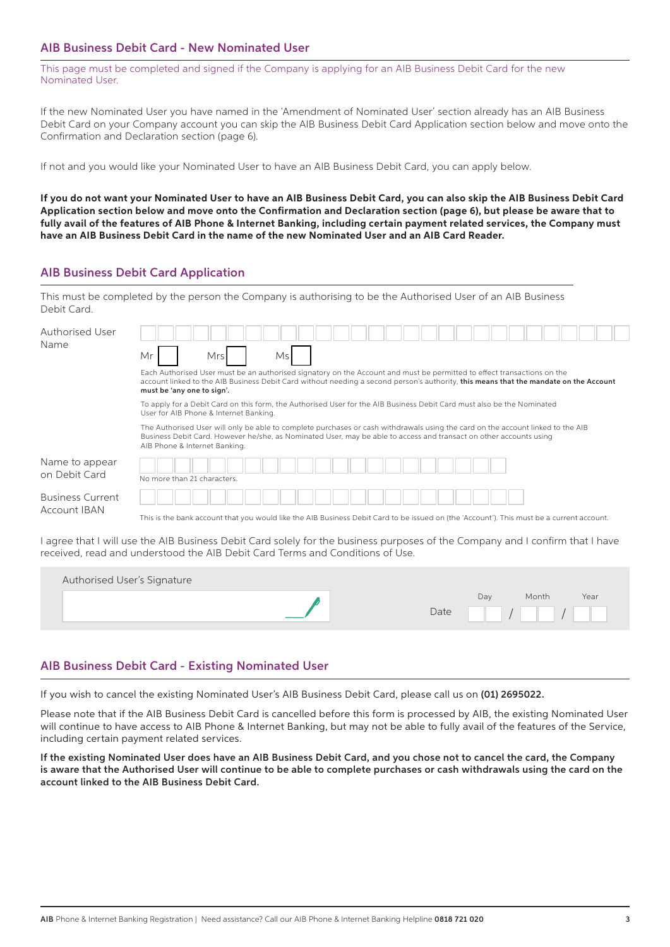# AIB Business Debit Card - New Nominated User

This page must be completed and signed if the Company is applying for an AIB Business Debit Card for the new Nominated User.

If the new Nominated User you have named in the 'Amendment of Nominated User' section already has an AIB Business Debit Card on your Company account you can skip the AIB Business Debit Card Application section below and move onto the Confirmation and Declaration section (page 6).

If not and you would like your Nominated User to have an AIB Business Debit Card, you can apply below.

**If you do not want your Nominated User to have an AIB Business Debit Card, you can also skip the AIB Business Debit Card Application section below and move onto the Confirmation and Declaration section (page 6), but please be aware that to fully avail of the features of AIB Phone & Internet Banking, including certain payment related services, the Company must have an AIB Business Debit Card in the name of the new Nominated User and an AIB Card Reader.**

# AIB Business Debit Card Application

This must be completed by the person the Company is authorising to be the Authorised User of an AIB Business Debit Card.

| Authorised User<br>Name                 | Mr<br>Ms<br>Mrsl<br>Each Authorised User must be an authorised signatory on the Account and must be permitted to effect transactions on the<br>account linked to the AIB Business Debit Card without needing a second person's authority, this means that the mandate on the Account<br>must be 'any one to sign'.                                                                                                                                         |  |  |  |  |  |  |  |  |  |  |  |  |  |  |
|-----------------------------------------|------------------------------------------------------------------------------------------------------------------------------------------------------------------------------------------------------------------------------------------------------------------------------------------------------------------------------------------------------------------------------------------------------------------------------------------------------------|--|--|--|--|--|--|--|--|--|--|--|--|--|--|
|                                         | To apply for a Debit Card on this form, the Authorised User for the AIB Business Debit Card must also be the Nominated<br>User for AIB Phone & Internet Banking.<br>The Authorised User will only be able to complete purchases or cash withdrawals using the card on the account linked to the AIB<br>Business Debit Card. However he/she, as Nominated User, may be able to access and transact on other accounts using<br>AIB Phone & Internet Banking. |  |  |  |  |  |  |  |  |  |  |  |  |  |  |
| Name to appear<br>on Debit Card         | No more than 21 characters.                                                                                                                                                                                                                                                                                                                                                                                                                                |  |  |  |  |  |  |  |  |  |  |  |  |  |  |
| <b>Business Current</b><br>Account IBAN | This is the bank account that you would like the AIB Business Debit Card to be issued on (the 'Account'). This must be a current account.                                                                                                                                                                                                                                                                                                                  |  |  |  |  |  |  |  |  |  |  |  |  |  |  |

I agree that I will use the AIB Business Debit Card solely for the business purposes of the Company and I confirm that I have received, read and understood the AIB Debit Card Terms and Conditions of Use.

| Authorised User's Signature |      |     |       |      |
|-----------------------------|------|-----|-------|------|
|                             | Date | Day | Month | Year |

# AIB Business Debit Card - Existing Nominated User

If you wish to cancel the existing Nominated User's AIB Business Debit Card, please call us on (01) 2695022.

Please note that if the AIB Business Debit Card is cancelled before this form is processed by AIB, the existing Nominated User will continue to have access to AIB Phone & Internet Banking, but may not be able to fully avail of the features of the Service, including certain payment related services.

If the existing Nominated User does have an AIB Business Debit Card, and you chose not to cancel the card, the Company is aware that the Authorised User will continue to be able to complete purchases or cash withdrawals using the card on the account linked to the AIB Business Debit Card.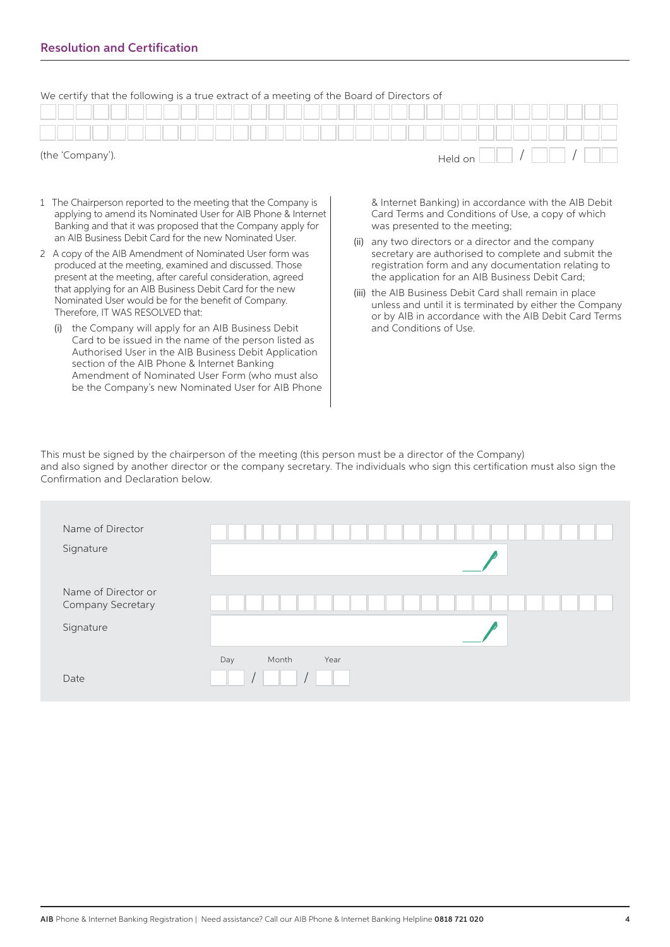| We certify that the following is a true extract of a meeting of the Board of Directors of |  |
|-------------------------------------------------------------------------------------------|--|
|-------------------------------------------------------------------------------------------|--|

|  |  | (the 'Company'). |  |  |  |  |  |  |  |  |  |  | Held on |  |  |  |  |  |
|--|--|------------------|--|--|--|--|--|--|--|--|--|--|---------|--|--|--|--|--|
|  |  |                  |  |  |  |  |  |  |  |  |  |  |         |  |  |  |  |  |
|  |  |                  |  |  |  |  |  |  |  |  |  |  |         |  |  |  |  |  |

#### (the 'Company').

- 1 The Chairperson reported to the meeting that the Company is applying to amend its Nominated User for AIB Phone & Internet Banking and that it was proposed that the Company apply for an AIB Business Debit Card for the new Nominated User.
- 2 A copy of the AIB Amendment of Nominated User form was produced at the meeting, examined and discussed. Those present at the meeting, after careful consideration, agreed that applying for an AIB Business Debit Card for the new Nominated User would be for the benefit of Company. Therefore, IT WAS RESOLVED that:
	- (i) the Company will apply for an AIB Business Debit Card to be issued in the name of the person listed as Authorised User in the AIB Business Debit Application section of the AIB Phone & Internet Banking Amendment of Nominated User Form (who must also be the Company's new Nominated User for AIB Phone

& Internet Banking) in accordance with the AIB Debit Card Terms and Conditions of Use, a copy of which was presented to the meeting;

- (ii) any two directors or a director and the company secretary are authorised to complete and submit the registration form and any documentation relating to the application for an AIB Business Debit Card;
- (iii) the AIB Business Debit Card shall remain in place unless and until it is terminated by either the Company or by AIB in accordance with the AIB Debit Card Terms and Conditions of Use.

This must be signed by the chairperson of the meeting (this person must be a director of the Company) and also signed by another director or the company secretary. The individuals who sign this certification must also sign the Confirmation and Declaration below.

| Name of Director<br>Signature                         |                      |
|-------------------------------------------------------|----------------------|
| Name of Director or<br>Company Secretary<br>Signature |                      |
| Date                                                  | Day<br>Month<br>Year |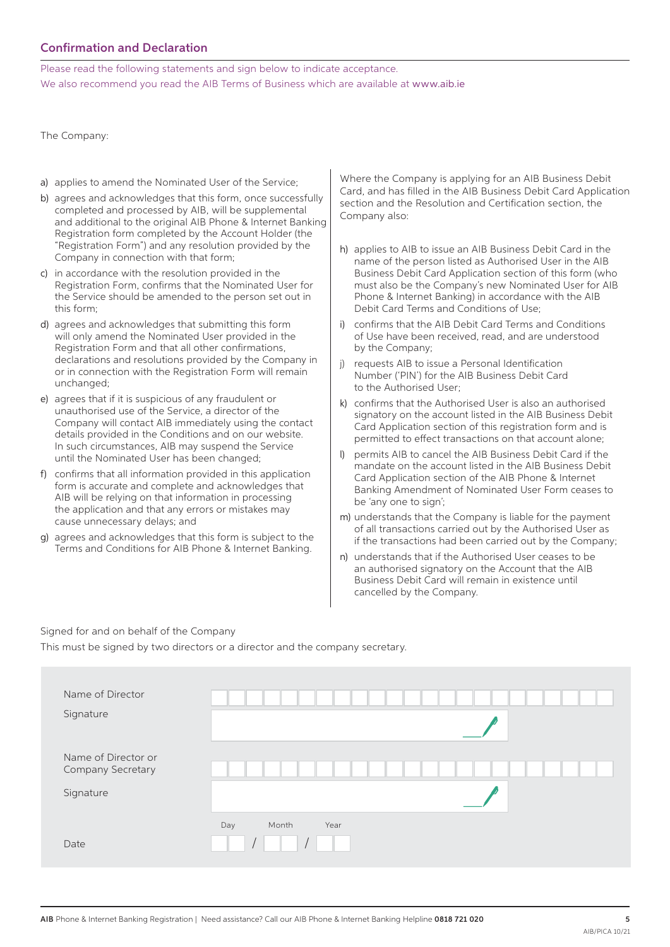# Confirmation and Declaration

Please read the following statements and sign below to indicate acceptance. We also recommend you read the AIB Terms of Business which are available at www.aib.ie

The Company:

- a) applies to amend the Nominated User of the Service;
- b) agrees and acknowledges that this form, once successfully completed and processed by AIB, will be supplemental and additional to the original AIB Phone & Internet Banking Registration form completed by the Account Holder (the "Registration Form") and any resolution provided by the Company in connection with that form;
- c) in accordance with the resolution provided in the Registration Form, confirms that the Nominated User for the Service should be amended to the person set out in this form;
- d) agrees and acknowledges that submitting this form will only amend the Nominated User provided in the Registration Form and that all other confirmations, declarations and resolutions provided by the Company in or in connection with the Registration Form will remain unchanged;
- e) agrees that if it is suspicious of any fraudulent or unauthorised use of the Service, a director of the Company will contact AIB immediately using the contact details provided in the Conditions and on our website. In such circumstances, AIB may suspend the Service until the Nominated User has been changed;
- f) confirms that all information provided in this application form is accurate and complete and acknowledges that AIB will be relying on that information in processing the application and that any errors or mistakes may cause unnecessary delays; and
- g) agrees and acknowledges that this form is subject to the Terms and Conditions for AIB Phone & Internet Banking.

Where the Company is applying for an AIB Business Debit Card, and has filled in the AIB Business Debit Card Application section and the Resolution and Certification section, the Company also:

- h) applies to AIB to issue an AIB Business Debit Card in the name of the person listed as Authorised User in the AIB Business Debit Card Application section of this form (who must also be the Company's new Nominated User for AIB Phone & Internet Banking) in accordance with the AIB Debit Card Terms and Conditions of Use;
- confirms that the AIB Debit Card Terms and Conditions of Use have been received, read, and are understood by the Company;
- j) requests AIB to issue a Personal Identification Number ('PIN') for the AIB Business Debit Card to the Authorised User;
- k) confirms that the Authorised User is also an authorised signatory on the account listed in the AIB Business Debit Card Application section of this registration form and is permitted to effect transactions on that account alone;
- permits AIB to cancel the AIB Business Debit Card if the mandate on the account listed in the AIB Business Debit Card Application section of the AIB Phone & Internet Banking Amendment of Nominated User Form ceases to be 'any one to sign';
- m) understands that the Company is liable for the payment of all transactions carried out by the Authorised User as if the transactions had been carried out by the Company;
- n) understands that if the Authorised User ceases to be an authorised signatory on the Account that the AIB Business Debit Card will remain in existence until cancelled by the Company.

Signed for and on behalf of the Company

This must be signed by two directors or a director and the company secretary.

| Name of Director<br>Signature                         |                      |
|-------------------------------------------------------|----------------------|
| Name of Director or<br>Company Secretary<br>Signature |                      |
| Date                                                  | Month<br>Day<br>Year |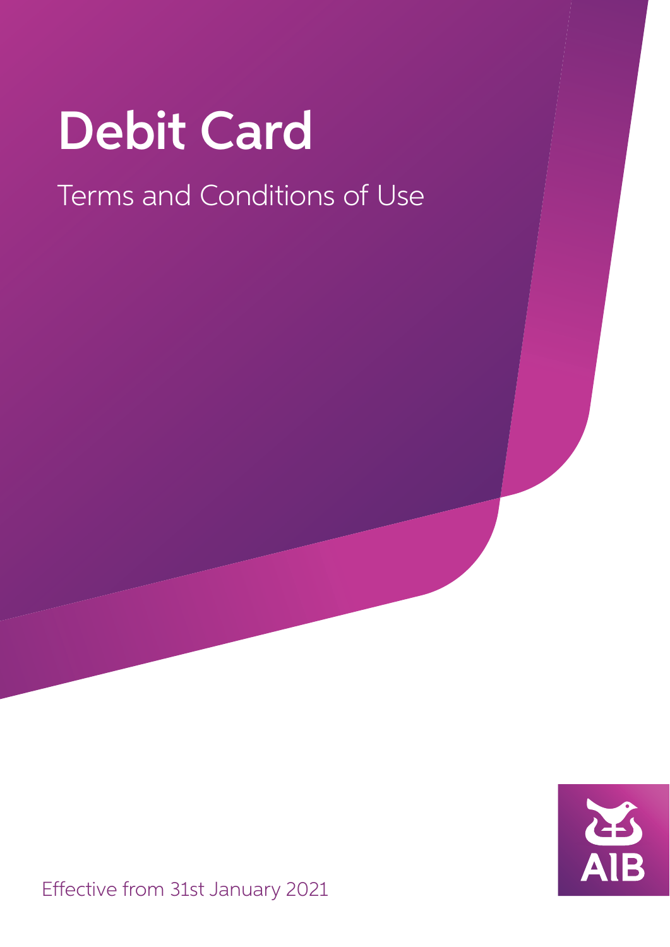# Debit Card

# Terms and Conditions of Use

Effective from 31st January 2021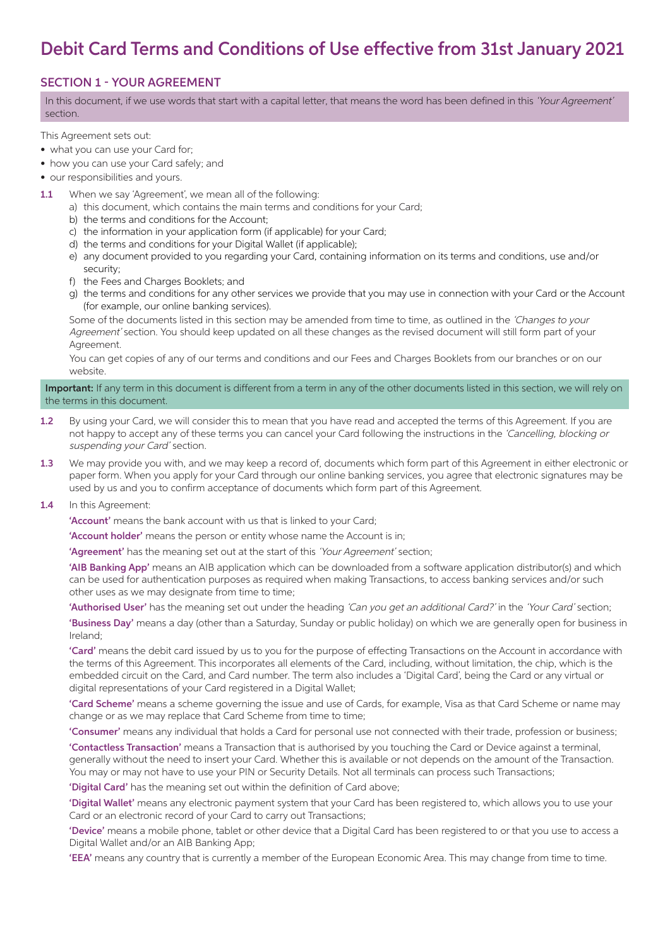# Debit Card Terms and Conditions of Use effective from 31st January 2021

# SECTION 1 - YOUR AGREEMENT

In this document, if we use words that start with a capital letter, that means the word has been defined in this 'Your Agreement' section.

This Agreement sets out:

- what you can use your Card for;
- how you can use your Card safely; and
- our responsibilities and yours.
- 1.1 When we say 'Agreement', we mean all of the following:
	- a) this document, which contains the main terms and conditions for your Card;
		- b) the terms and conditions for the Account;
		- c) the information in your application form (if applicable) for your Card;
		- d) the terms and conditions for your Digital Wallet (if applicable);
		- e) any document provided to you regarding your Card, containing information on its terms and conditions, use and/or security;
		- f) the Fees and Charges Booklets; and
		- g) the terms and conditions for any other services we provide that you may use in connection with your Card or the Account (for example, our online banking services).

Some of the documents listed in this section may be amended from time to time, as outlined in the 'Changes to your Agreement' section. You should keep updated on all these changes as the revised document will still form part of your Agreement.

 You can get copies of any of our terms and conditions and our Fees and Charges Booklets from our branches or on our website.

#### Important: If any term in this document is different from a term in any of the other documents listed in this section, we will rely on the terms in this document.

- 1.2 By using your Card, we will consider this to mean that you have read and accepted the terms of this Agreement. If you are not happy to accept any of these terms you can cancel your Card following the instructions in the 'Cancelling, blocking or suspending your Card' section.
- 1.3 We may provide you with, and we may keep a record of, documents which form part of this Agreement in either electronic or paper form. When you apply for your Card through our online banking services, you agree that electronic signatures may be used by us and you to confirm acceptance of documents which form part of this Agreement.

#### 1.4 In this Agreement:

'Account' means the bank account with us that is linked to your Card;

'Account holder' means the person or entity whose name the Account is in;

'Agreement' has the meaning set out at the start of this 'Your Agreement' section;

 'AIB Banking App' means an AIB application which can be downloaded from a software application distributor(s) and which can be used for authentication purposes as required when making Transactions, to access banking services and/or such other uses as we may designate from time to time;

'Authorised User' has the meaning set out under the heading 'Can you get an additional Card?' in the 'Your Card' section;

 'Business Day' means a day (other than a Saturday, Sunday or public holiday) on which we are generally open for business in Ireland;

 'Card' means the debit card issued by us to you for the purpose of effecting Transactions on the Account in accordance with the terms of this Agreement. This incorporates all elements of the Card, including, without limitation, the chip, which is the embedded circuit on the Card, and Card number. The term also includes a 'Digital Card', being the Card or any virtual or digital representations of your Card registered in a Digital Wallet;

 'Card Scheme' means a scheme governing the issue and use of Cards, for example, Visa as that Card Scheme or name may change or as we may replace that Card Scheme from time to time;

'Consumer' means any individual that holds a Card for personal use not connected with their trade, profession or business;

 'Contactless Transaction' means a Transaction that is authorised by you touching the Card or Device against a terminal, generally without the need to insert your Card. Whether this is available or not depends on the amount of the Transaction. You may or may not have to use your PIN or Security Details. Not all terminals can process such Transactions;

'Digital Card' has the meaning set out within the definition of Card above;

'Digital Wallet' means any electronic payment system that your Card has been registered to, which allows you to use your Card or an electronic record of your Card to carry out Transactions;

 'Device' means a mobile phone, tablet or other device that a Digital Card has been registered to or that you use to access a Digital Wallet and/or an AIB Banking App;

'EEA' means any country that is currently a member of the European Economic Area. This may change from time to time.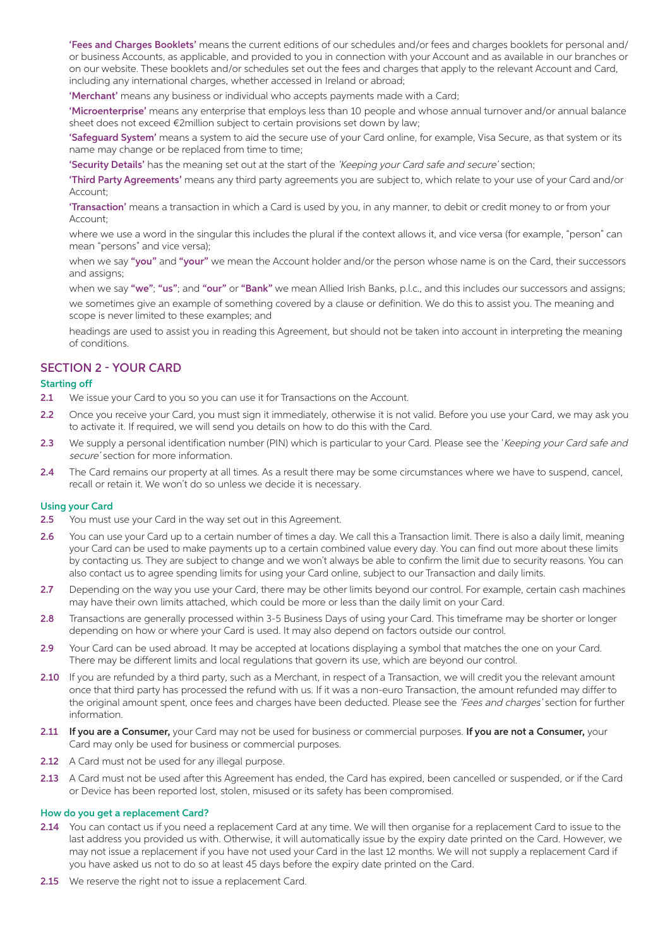'Fees and Charges Booklets' means the current editions of our schedules and/or fees and charges booklets for personal and/ or business Accounts, as applicable, and provided to you in connection with your Account and as available in our branches or on our website. These booklets and/or schedules set out the fees and charges that apply to the relevant Account and Card, including any international charges, whether accessed in Ireland or abroad;

'Merchant' means any business or individual who accepts payments made with a Card;

 'Microenterprise' means any enterprise that employs less than 10 people and whose annual turnover and/or annual balance sheet does not exceed €2million subject to certain provisions set down by law;

'Safeguard System' means a system to aid the secure use of your Card online, for example, Visa Secure, as that system or its name may change or be replaced from time to time;

'Security Details' has the meaning set out at the start of the 'Keeping your Card safe and secure' section;

 'Third Party Agreements' means any third party agreements you are subject to, which relate to your use of your Card and/or Account;

'Transaction' means a transaction in which a Card is used by you, in any manner, to debit or credit money to or from your Account;

 where we use a word in the singular this includes the plural if the context allows it, and vice versa (for example, "person" can mean "persons" and vice versa);

when we say "you" and "your" we mean the Account holder and/or the person whose name is on the Card, their successors and assigns;

when we say "we"; "us"; and "our" or "Bank" we mean Allied Irish Banks, p.l.c., and this includes our successors and assigns; we sometimes give an example of something covered by a clause or definition. We do this to assist you. The meaning and scope is never limited to these examples; and

 headings are used to assist you in reading this Agreement, but should not be taken into account in interpreting the meaning of conditions.

#### SECTION 2 - YOUR CARD

#### Starting off

- 2.1 We issue your Card to you so you can use it for Transactions on the Account.
- 2.2 Once you receive your Card, you must sign it immediately, otherwise it is not valid. Before you use your Card, we may ask you to activate it. If required, we will send you details on how to do this with the Card.
- 2.3 We supply a personal identification number (PIN) which is particular to your Card. Please see the 'Keeping your Card safe and secure' section for more information.
- 2.4 The Card remains our property at all times. As a result there may be some circumstances where we have to suspend, cancel, recall or retain it. We won't do so unless we decide it is necessary.

#### Using your Card

- 2.5 You must use your Card in the way set out in this Agreement.
- 2.6 You can use your Card up to a certain number of times a day. We call this a Transaction limit. There is also a daily limit, meaning your Card can be used to make payments up to a certain combined value every day. You can find out more about these limits by contacting us. They are subject to change and we won't always be able to confirm the limit due to security reasons. You can also contact us to agree spending limits for using your Card online, subject to our Transaction and daily limits.
- 2.7 Depending on the way you use your Card, there may be other limits beyond our control. For example, certain cash machines may have their own limits attached, which could be more or less than the daily limit on your Card.
- 2.8 Transactions are generally processed within 3-5 Business Days of using your Card. This timeframe may be shorter or longer depending on how or where your Card is used. It may also depend on factors outside our control.
- 2.9 Your Card can be used abroad. It may be accepted at locations displaying a symbol that matches the one on your Card. There may be different limits and local regulations that govern its use, which are beyond our control.
- 2.10 If you are refunded by a third party, such as a Merchant, in respect of a Transaction, we will credit you the relevant amount once that third party has processed the refund with us. If it was a non-euro Transaction, the amount refunded may differ to the original amount spent, once fees and charges have been deducted. Please see the 'Fees and charges' section for further information.
- 2.11 If you are a Consumer, your Card may not be used for business or commercial purposes. If you are not a Consumer, your Card may only be used for business or commercial purposes.
- 2.12 A Card must not be used for any illegal purpose.
- 2.13 A Card must not be used after this Agreement has ended, the Card has expired, been cancelled or suspended, or if the Card or Device has been reported lost, stolen, misused or its safety has been compromised.

#### How do you get a replacement Card?

- 2.14 You can contact us if you need a replacement Card at any time. We will then organise for a replacement Card to issue to the last address you provided us with. Otherwise, it will automatically issue by the expiry date printed on the Card. However, we may not issue a replacement if you have not used your Card in the last 12 months. We will not supply a replacement Card if you have asked us not to do so at least 45 days before the expiry date printed on the Card.
- 2.15 We reserve the right not to issue a replacement Card.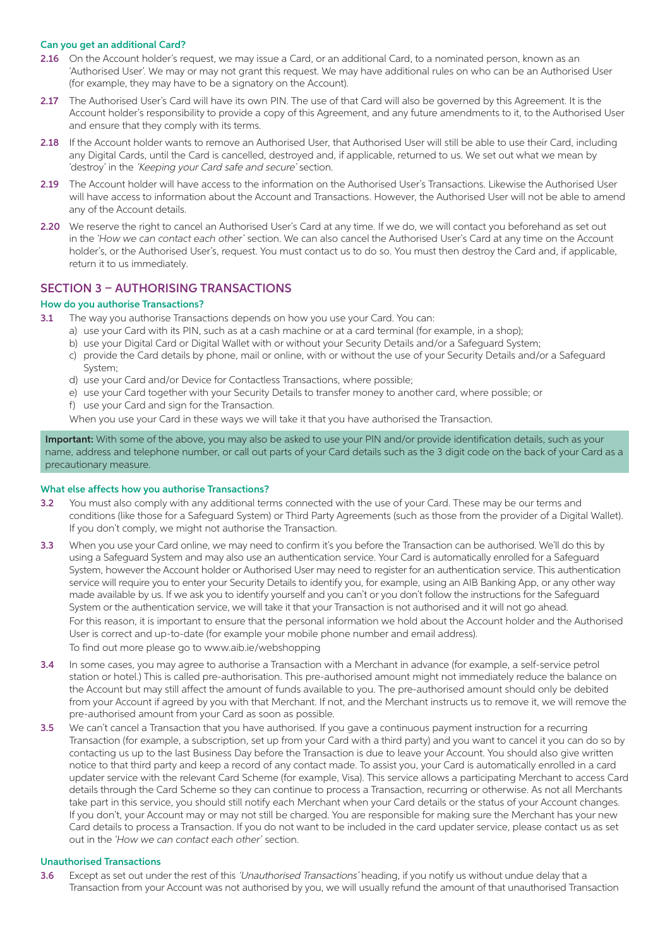#### Can you get an additional Card?

- 2.16 On the Account holder's request, we may issue a Card, or an additional Card, to a nominated person, known as an 'Authorised User'. We may or may not grant this request. We may have additional rules on who can be an Authorised User (for example, they may have to be a signatory on the Account).
- 2.17 The Authorised User's Card will have its own PIN. The use of that Card will also be governed by this Agreement. It is the Account holder's responsibility to provide a copy of this Agreement, and any future amendments to it, to the Authorised User and ensure that they comply with its terms.
- 2.18 If the Account holder wants to remove an Authorised User, that Authorised User will still be able to use their Card, including any Digital Cards, until the Card is cancelled, destroyed and, if applicable, returned to us. We set out what we mean by 'destroy' in the 'Keeping your Card safe and secure' section.
- 2.19 The Account holder will have access to the information on the Authorised User's Transactions. Likewise the Authorised User will have access to information about the Account and Transactions. However, the Authorised User will not be able to amend any of the Account details.
- 2.20 We reserve the right to cancel an Authorised User's Card at any time. If we do, we will contact you beforehand as set out in the *'How we can contact each other'* section. We can also cancel the Authorised User's Card at any time on the Account holder's, or the Authorised User's, request. You must contact us to do so. You must then destroy the Card and, if applicable, return it to us immediately.

# SECTION 3 – AUTHORISING TRANSACTIONS

#### How do you authorise Transactions?

- 3.1 The way you authorise Transactions depends on how you use your Card. You can:
	- a) use your Card with its PIN, such as at a cash machine or at a card terminal (for example, in a shop);
	- b) use your Digital Card or Digital Wallet with or without your Security Details and/or a Safeguard System;
	- c) provide the Card details by phone, mail or online, with or without the use of your Security Details and/or a Safeguard System;
	- d) use your Card and/or Device for Contactless Transactions, where possible;
	- e) use your Card together with your Security Details to transfer money to another card, where possible; or
	- f) use your Card and sign for the Transaction.

When you use your Card in these ways we will take it that you have authorised the Transaction.

Important: With some of the above, you may also be asked to use your PIN and/or provide identification details, such as your name, address and telephone number, or call out parts of your Card details such as the 3 digit code on the back of your Card as a precautionary measure.

#### What else affects how you authorise Transactions?

- 3.2 You must also comply with any additional terms connected with the use of your Card. These may be our terms and conditions (like those for a Safeguard System) or Third Party Agreements (such as those from the provider of a Digital Wallet). If you don't comply, we might not authorise the Transaction.
- 3.3 When you use your Card online, we may need to confirm it's you before the Transaction can be authorised. We'll do this by using a Safeguard System and may also use an authentication service. Your Card is automatically enrolled for a Safeguard System, however the Account holder or Authorised User may need to register for an authentication service. This authentication service will require you to enter your Security Details to identify you, for example, using an AIB Banking App, or any other way made available by us. If we ask you to identify yourself and you can't or you don't follow the instructions for the Safeguard System or the authentication service, we will take it that your Transaction is not authorised and it will not go ahead. For this reason, it is important to ensure that the personal information we hold about the Account holder and the Authorised User is correct and up-to-date (for example your mobile phone number and email address).

To find out more please go to www.aib.ie/webshopping

- 3.4 In some cases, you may agree to authorise a Transaction with a Merchant in advance (for example, a self-service petrol station or hotel.) This is called pre-authorisation. This pre-authorised amount might not immediately reduce the balance on the Account but may still affect the amount of funds available to you. The pre-authorised amount should only be debited from your Account if agreed by you with that Merchant. If not, and the Merchant instructs us to remove it, we will remove the pre-authorised amount from your Card as soon as possible.
- 3.5 We can't cancel a Transaction that you have authorised. If you gave a continuous payment instruction for a recurring Transaction (for example, a subscription, set up from your Card with a third party) and you want to cancel it you can do so by contacting us up to the last Business Day before the Transaction is due to leave your Account. You should also give written notice to that third party and keep a record of any contact made. To assist you, your Card is automatically enrolled in a card updater service with the relevant Card Scheme (for example, Visa). This service allows a participating Merchant to access Card details through the Card Scheme so they can continue to process a Transaction, recurring or otherwise. As not all Merchants take part in this service, you should still notify each Merchant when your Card details or the status of your Account changes. If you don't, your Account may or may not still be charged. You are responsible for making sure the Merchant has your new Card details to process a Transaction. If you do not want to be included in the card updater service, please contact us as set out in the *'How we can contact each other'* section.

#### Unauthorised Transactions

3.6 Except as set out under the rest of this 'Unauthorised Transactions' heading, if you notify us without undue delay that a Transaction from your Account was not authorised by you, we will usually refund the amount of that unauthorised Transaction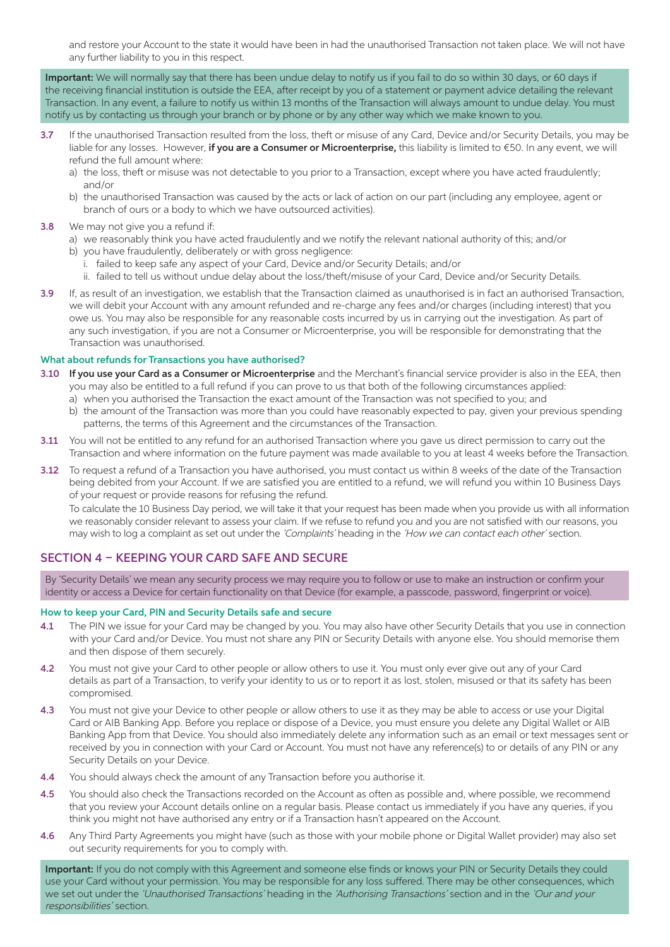and restore your Account to the state it would have been in had the unauthorised Transaction not taken place. We will not have any further liability to you in this respect.

Important: We will normally say that there has been undue delay to notify us if you fail to do so within 30 days, or 60 days if the receiving financial institution is outside the EEA, after receipt by you of a statement or payment advice detailing the relevant Transaction. In any event, a failure to notify us within 13 months of the Transaction will always amount to undue delay. You must notify us by contacting us through your branch or by phone or by any other way which we make known to you.

- 3.7 If the unauthorised Transaction resulted from the loss, theft or misuse of any Card, Device and/or Security Details, you may be liable for any losses. However, if you are a Consumer or Microenterprise, this liability is limited to €50. In any event, we will refund the full amount where:
	- a) the loss, theft or misuse was not detectable to you prior to a Transaction, except where you have acted fraudulently; and/or
	- b) the unauthorised Transaction was caused by the acts or lack of action on our part (including any employee, agent or branch of ours or a body to which we have outsourced activities).
- 3.8 We may not give you a refund if:
	- a) we reasonably think you have acted fraudulently and we notify the relevant national authority of this; and/or
	- b) you have fraudulently, deliberately or with gross negligence:
		- i. failed to keep safe any aspect of your Card, Device and/or Security Details; and/or
		- ii. failed to tell us without undue delay about the loss/theft/misuse of your Card, Device and/or Security Details.
- 3.9 If, as result of an investigation, we establish that the Transaction claimed as unauthorised is in fact an authorised Transaction, we will debit your Account with any amount refunded and re-charge any fees and/or charges (including interest) that you owe us. You may also be responsible for any reasonable costs incurred by us in carrying out the investigation. As part of any such investigation, if you are not a Consumer or Microenterprise, you will be responsible for demonstrating that the Transaction was unauthorised.

#### What about refunds for Transactions you have authorised?

- 3.10 If you use your Card as a Consumer or Microenterprise and the Merchant's financial service provider is also in the EEA, then you may also be entitled to a full refund if you can prove to us that both of the following circumstances applied:
	- a) when you authorised the Transaction the exact amount of the Transaction was not specified to you; and
	- b) the amount of the Transaction was more than you could have reasonably expected to pay, given your previous spending patterns, the terms of this Agreement and the circumstances of the Transaction.
- 3.11 You will not be entitled to any refund for an authorised Transaction where you gave us direct permission to carry out the Transaction and where information on the future payment was made available to you at least 4 weeks before the Transaction.
- 3.12 To request a refund of a Transaction you have authorised, you must contact us within 8 weeks of the date of the Transaction being debited from your Account. If we are satisfied you are entitled to a refund, we will refund you within 10 Business Days of your request or provide reasons for refusing the refund.

 To calculate the 10 Business Day period, we will take it that your request has been made when you provide us with all information we reasonably consider relevant to assess your claim. If we refuse to refund you and you are not satisfied with our reasons, you may wish to log a complaint as set out under the 'Complaints' heading in the 'How we can contact each other' section.

#### SECTION 4 – KEEPING YOUR CARD SAFE AND SECURE

By 'Security Details' we mean any security process we may require you to follow or use to make an instruction or confirm your identity or access a Device for certain functionality on that Device (for example, a passcode, password, fingerprint or voice).

#### How to keep your Card, PIN and Security Details safe and secure

- 4.1 The PIN we issue for your Card may be changed by you. You may also have other Security Details that you use in connection with your Card and/or Device. You must not share any PIN or Security Details with anyone else. You should memorise them and then dispose of them securely.
- 4.2 You must not give your Card to other people or allow others to use it. You must only ever give out any of your Card details as part of a Transaction, to verify your identity to us or to report it as lost, stolen, misused or that its safety has been compromised.
- 4.3 You must not give your Device to other people or allow others to use it as they may be able to access or use your Digital Card or AIB Banking App. Before you replace or dispose of a Device, you must ensure you delete any Digital Wallet or AIB Banking App from that Device. You should also immediately delete any information such as an email or text messages sent or received by you in connection with your Card or Account. You must not have any reference(s) to or details of any PIN or any Security Details on your Device.
- 4.4 You should always check the amount of any Transaction before you authorise it.
- 4.5 You should also check the Transactions recorded on the Account as often as possible and, where possible, we recommend that you review your Account details online on a regular basis. Please contact us immediately if you have any queries, if you think you might not have authorised any entry or if a Transaction hasn't appeared on the Account.
- 4.6 Any Third Party Agreements you might have (such as those with your mobile phone or Digital Wallet provider) may also set out security requirements for you to comply with.

Important: If you do not comply with this Agreement and someone else finds or knows your PIN or Security Details they could use your Card without your permission. You may be responsible for any loss suffered. There may be other consequences, which we set out under the 'Unauthorised Transactions' heading in the 'Authorising Transactions' section and in the 'Our and your responsibilities' section.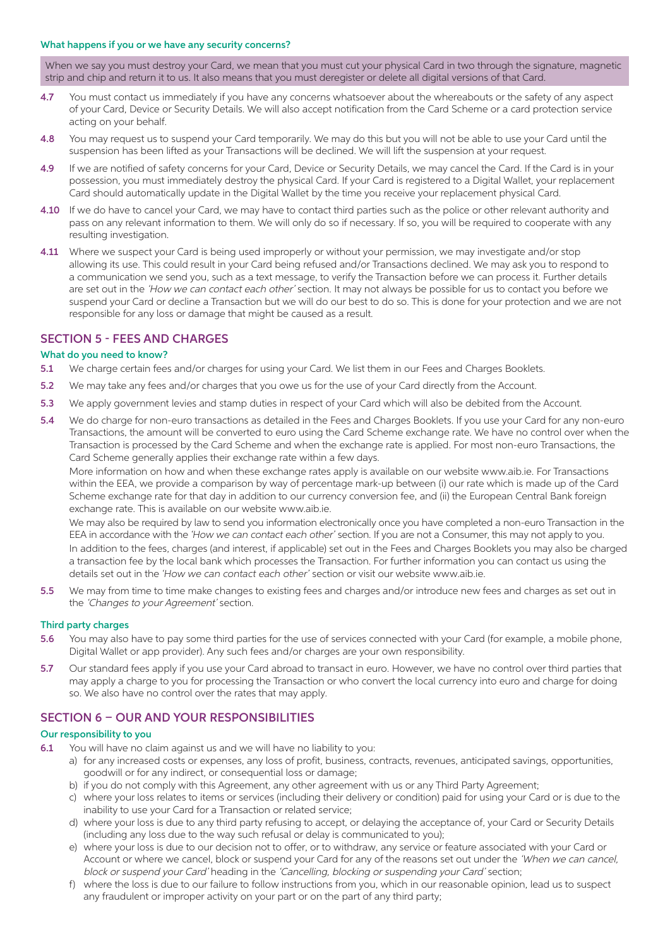#### What happens if you or we have any security concerns?

When we say you must destroy your Card, we mean that you must cut your physical Card in two through the signature, magnetic strip and chip and return it to us. It also means that you must deregister or delete all digital versions of that Card.

- 4.7 You must contact us immediately if you have any concerns whatsoever about the whereabouts or the safety of any aspect of your Card, Device or Security Details. We will also accept notification from the Card Scheme or a card protection service acting on your behalf.
- 4.8 You may request us to suspend your Card temporarily. We may do this but you will not be able to use your Card until the suspension has been lifted as your Transactions will be declined. We will lift the suspension at your request.
- 4.9 If we are notified of safety concerns for your Card, Device or Security Details, we may cancel the Card. If the Card is in your possession, you must immediately destroy the physical Card. If your Card is registered to a Digital Wallet, your replacement Card should automatically update in the Digital Wallet by the time you receive your replacement physical Card.
- 4.10 If we do have to cancel your Card, we may have to contact third parties such as the police or other relevant authority and pass on any relevant information to them. We will only do so if necessary. If so, you will be required to cooperate with any resulting investigation.
- 4.11 Where we suspect your Card is being used improperly or without your permission, we may investigate and/or stop allowing its use. This could result in your Card being refused and/or Transactions declined. We may ask you to respond to a communication we send you, such as a text message, to verify the Transaction before we can process it. Further details are set out in the 'How we can contact each other' section. It may not always be possible for us to contact you before we suspend your Card or decline a Transaction but we will do our best to do so. This is done for your protection and we are not responsible for any loss or damage that might be caused as a result.

# SECTION 5 - FEES AND CHARGES

#### What do you need to know?

- 5.1 We charge certain fees and/or charges for using your Card. We list them in our Fees and Charges Booklets.
- 5.2 We may take any fees and/or charges that you owe us for the use of your Card directly from the Account.
- 5.3 We apply government levies and stamp duties in respect of your Card which will also be debited from the Account.
- 5.4 We do charge for non-euro transactions as detailed in the Fees and Charges Booklets. If you use your Card for any non-euro Transactions, the amount will be converted to euro using the Card Scheme exchange rate. We have no control over when the Transaction is processed by the Card Scheme and when the exchange rate is applied. For most non-euro Transactions, the Card Scheme generally applies their exchange rate within a few days.

 More information on how and when these exchange rates apply is available on our website www.aib.ie. For Transactions within the EEA, we provide a comparison by way of percentage mark-up between (i) our rate which is made up of the Card Scheme exchange rate for that day in addition to our currency conversion fee, and (ii) the European Central Bank foreign exchange rate. This is available on our website www.aib.ie.

 We may also be required by law to send you information electronically once you have completed a non-euro Transaction in the EEA in accordance with the *'How we can contact each other'* section. If you are not a Consumer, this may not apply to you.

 In addition to the fees, charges (and interest, if applicable) set out in the Fees and Charges Booklets you may also be charged a transaction fee by the local bank which processes the Transaction. For further information you can contact us using the details set out in the *'How we can contact each other'* section or visit our website www.aib.ie.

5.5 We may from time to time make changes to existing fees and charges and/or introduce new fees and charges as set out in the 'Changes to your Agreement' section.

#### Third party charges

- 5.6 You may also have to pay some third parties for the use of services connected with your Card (for example, a mobile phone, Digital Wallet or app provider). Any such fees and/or charges are your own responsibility.
- 5.7 Our standard fees apply if you use your Card abroad to transact in euro. However, we have no control over third parties that may apply a charge to you for processing the Transaction or who convert the local currency into euro and charge for doing so. We also have no control over the rates that may apply.

# SECTION 6 – OUR AND YOUR RESPONSIBILITIES

#### Our responsibility to you

- 6.1 You will have no claim against us and we will have no liability to you:
	- a) for any increased costs or expenses, any loss of profit, business, contracts, revenues, anticipated savings, opportunities, goodwill or for any indirect, or consequential loss or damage;
		- b) if you do not comply with this Agreement, any other agreement with us or any Third Party Agreement;
		- c) where your loss relates to items or services (including their delivery or condition) paid for using your Card or is due to the inability to use your Card for a Transaction or related service;
		- d) where your loss is due to any third party refusing to accept, or delaying the acceptance of, your Card or Security Details (including any loss due to the way such refusal or delay is communicated to you);
		- e) where your loss is due to our decision not to offer, or to withdraw, any service or feature associated with your Card or Account or where we cancel, block or suspend your Card for any of the reasons set out under the 'When we can cancel, block or suspend your Card' heading in the 'Cancelling, blocking or suspending your Card' section;
		- f) where the loss is due to our failure to follow instructions from you, which in our reasonable opinion, lead us to suspect any fraudulent or improper activity on your part or on the part of any third party;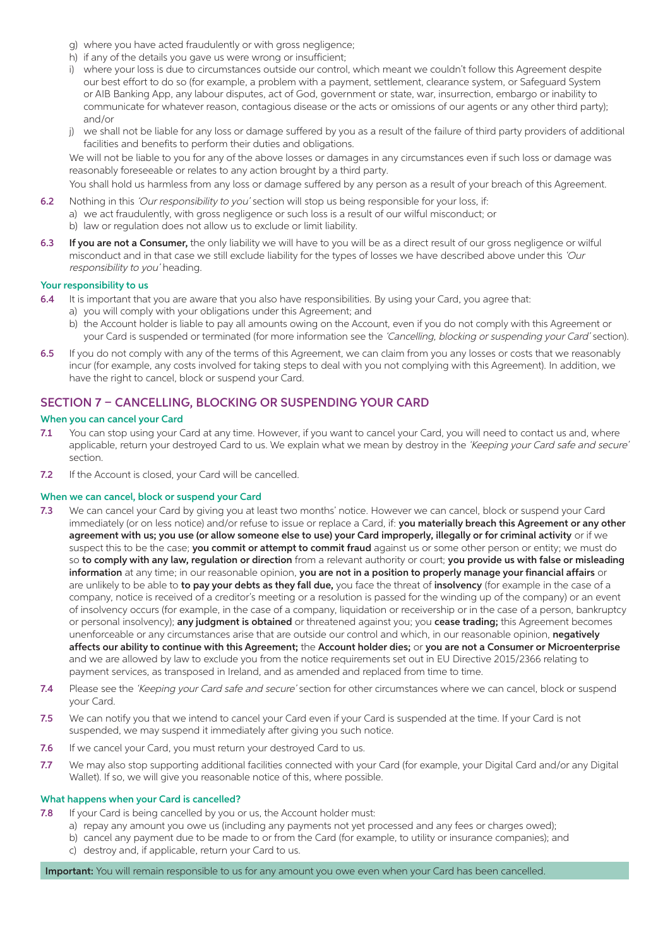- g) where you have acted fraudulently or with gross negligence;
- h) if any of the details you gave us were wrong or insufficient;
- i) where your loss is due to circumstances outside our control, which meant we couldn't follow this Agreement despite our best effort to do so (for example, a problem with a payment, settlement, clearance system, or Safeguard System or AIB Banking App, any labour disputes, act of God, government or state, war, insurrection, embargo or inability to communicate for whatever reason, contagious disease or the acts or omissions of our agents or any other third party); and/or
- j) we shall not be liable for any loss or damage suffered by you as a result of the failure of third party providers of additional facilities and benefits to perform their duties and obligations.

We will not be liable to you for any of the above losses or damages in any circumstances even if such loss or damage was reasonably foreseeable or relates to any action brought by a third party.

You shall hold us harmless from any loss or damage suffered by any person as a result of your breach of this Agreement.

- 6.2 Nothing in this 'Our responsibility to you' section will stop us being responsible for your loss, if: a) we act fraudulently, with gross negligence or such loss is a result of our wilful misconduct; or b) law or regulation does not allow us to exclude or limit liability.
- 6.3 If you are not a Consumer, the only liability we will have to you will be as a direct result of our gross negligence or wilful misconduct and in that case we still exclude liability for the types of losses we have described above under this 'Our responsibility to you' heading.

#### Your responsibility to us

- 6.4 It is important that you are aware that you also have responsibilities. By using your Card, you agree that: a) you will comply with your obligations under this Agreement; and
	- b) the Account holder is liable to pay all amounts owing on the Account, even if you do not comply with this Agreement or your Card is suspended or terminated (for more information see the 'Cancelling, blocking or suspending your Card' section).
- 6.5 If you do not comply with any of the terms of this Agreement, we can claim from you any losses or costs that we reasonably incur (for example, any costs involved for taking steps to deal with you not complying with this Agreement). In addition, we have the right to cancel, block or suspend your Card.

# SECTION 7 – CANCELLING, BLOCKING OR SUSPENDING YOUR CARD

#### When you can cancel your Card

- 7.1 You can stop using your Card at any time. However, if you want to cancel your Card, you will need to contact us and, where applicable, return your destroyed Card to us. We explain what we mean by destroy in the 'Keeping your Card safe and secure' section.
- 7.2 If the Account is closed, your Card will be cancelled.

#### When we can cancel, block or suspend your Card

- 7.3 We can cancel your Card by giving you at least two months' notice. However we can cancel, block or suspend your Card immediately (or on less notice) and/or refuse to issue or replace a Card, if: you materially breach this Agreement or any other agreement with us; you use (or allow someone else to use) your Card improperly, illegally or for criminal activity or if we suspect this to be the case; you commit or attempt to commit fraud against us or some other person or entity; we must do so to comply with any law, regulation or direction from a relevant authority or court; you provide us with false or misleading information at any time; in our reasonable opinion, you are not in a position to properly manage your financial affairs or are unlikely to be able to to pay your debts as they fall due, you face the threat of insolvency (for example in the case of a company, notice is received of a creditor's meeting or a resolution is passed for the winding up of the company) or an event of insolvency occurs (for example, in the case of a company, liquidation or receivership or in the case of a person, bankruptcy or personal insolvency); any judgment is obtained or threatened against you; you cease trading; this Agreement becomes unenforceable or any circumstances arise that are outside our control and which, in our reasonable opinion, negatively affects our ability to continue with this Agreement; the Account holder dies; or you are not a Consumer or Microenterprise and we are allowed by law to exclude you from the notice requirements set out in EU Directive 2015/2366 relating to payment services, as transposed in Ireland, and as amended and replaced from time to time.
- 7.4 Please see the 'Keeping your Card safe and secure' section for other circumstances where we can cancel, block or suspend your Card.
- 7.5 We can notify you that we intend to cancel your Card even if your Card is suspended at the time. If your Card is not suspended, we may suspend it immediately after giving you such notice.
- 7.6 If we cancel your Card, you must return your destroyed Card to us.
- 7.7 We may also stop supporting additional facilities connected with your Card (for example, your Digital Card and/or any Digital Wallet). If so, we will give you reasonable notice of this, where possible.

#### What happens when your Card is cancelled?

- 7.8 If your Card is being cancelled by you or us, the Account holder must:
	- a) repay any amount you owe us (including any payments not yet processed and any fees or charges owed);
	- b) cancel any payment due to be made to or from the Card (for example, to utility or insurance companies); and c) destroy and, if applicable, return your Card to us.
- Important: You will remain responsible to us for any amount you owe even when your Card has been cancelled.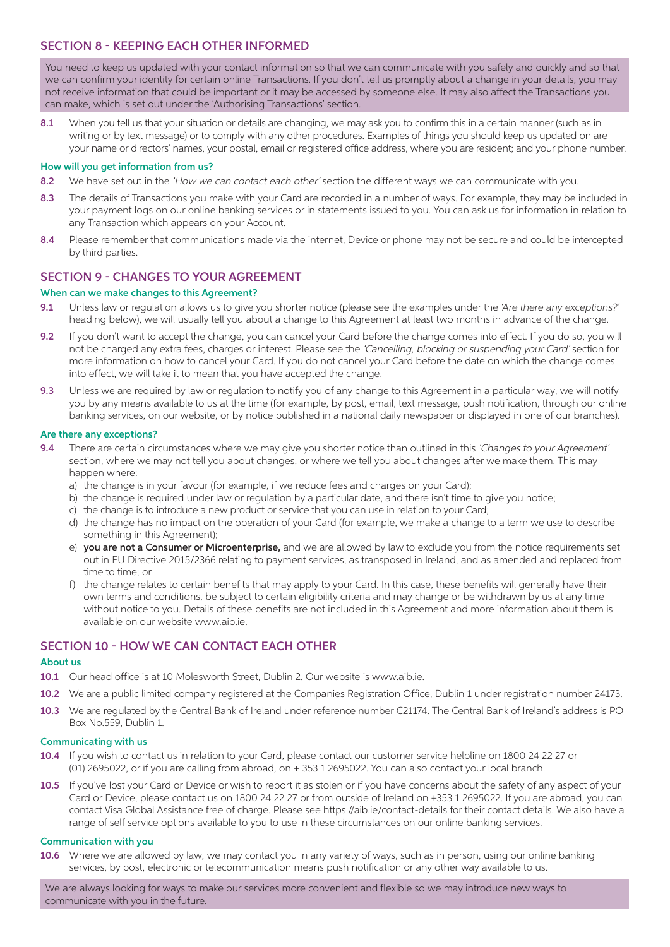# SECTION 8 - KEEPING EACH OTHER INFORMED

You need to keep us updated with your contact information so that we can communicate with you safely and quickly and so that we can confirm your identity for certain online Transactions. If you don't tell us promptly about a change in your details, you may not receive information that could be important or it may be accessed by someone else. It may also affect the Transactions you can make, which is set out under the 'Authorising Transactions' section.

8.1 When you tell us that your situation or details are changing, we may ask you to confirm this in a certain manner (such as in writing or by text message) or to comply with any other procedures. Examples of things you should keep us updated on are your name or directors' names, your postal, email or registered office address, where you are resident; and your phone number.

#### How will you get information from us?

- 8.2 We have set out in the 'How we can contact each other' section the different ways we can communicate with you.
- 8.3 The details of Transactions you make with your Card are recorded in a number of ways. For example, they may be included in your payment logs on our online banking services or in statements issued to you. You can ask us for information in relation to any Transaction which appears on your Account.
- 8.4 Please remember that communications made via the internet, Device or phone may not be secure and could be intercepted by third parties.

# SECTION 9 - CHANGES TO YOUR AGREEMENT

#### When can we make changes to this Agreement?

- 9.1 Unless law or regulation allows us to give you shorter notice (please see the examples under the *'Are there any exceptions?'* heading below), we will usually tell you about a change to this Agreement at least two months in advance of the change.
- 9.2 If you don't want to accept the change, you can cancel your Card before the change comes into effect. If you do so, you will not be charged any extra fees, charges or interest. Please see the 'Cancelling, blocking or suspending your Card' section for more information on how to cancel your Card. If you do not cancel your Card before the date on which the change comes into effect, we will take it to mean that you have accepted the change.
- 9.3 Unless we are required by law or requlation to notify you of any change to this Agreement in a particular way, we will notify you by any means available to us at the time (for example, by post, email, text message, push notification, through our online banking services, on our website, or by notice published in a national daily newspaper or displayed in one of our branches).

#### Are there any exceptions?

- 9.4 There are certain circumstances where we may give you shorter notice than outlined in this 'Changes to your Agreement' section, where we may not tell you about changes, or where we tell you about changes after we make them. This may happen where:
	- a) the change is in your favour (for example, if we reduce fees and charges on your Card);
	- b) the change is required under law or regulation by a particular date, and there isn't time to give you notice;
	- c) the change is to introduce a new product or service that you can use in relation to your Card;
	- d) the change has no impact on the operation of your Card (for example, we make a change to a term we use to describe something in this Agreement);
	- e) you are not a Consumer or Microenterprise, and we are allowed by law to exclude you from the notice requirements set out in EU Directive 2015/2366 relating to payment services, as transposed in Ireland, and as amended and replaced from time to time; or
	- f) the change relates to certain benefits that may apply to your Card. In this case, these benefits will generally have their own terms and conditions, be subject to certain eligibility criteria and may change or be withdrawn by us at any time without notice to you. Details of these benefits are not included in this Agreement and more information about them is available on our website www.aib.ie.

### SECTION 10 - HOW WE CAN CONTACT EACH OTHER

#### About us

- 10.1 Our head office is at 10 Molesworth Street, Dublin 2. Our website is www.aib.ie.
- 10.2 We are a public limited company registered at the Companies Registration Office, Dublin 1 under registration number 24173.
- 10.3 We are regulated by the Central Bank of Ireland under reference number C21174. The Central Bank of Ireland's address is PO Box No.559, Dublin 1.

#### Communicating with us

- 10.4 If you wish to contact us in relation to your Card, please contact our customer service helpline on 1800 24 22 27 or (01) 2695022, or if you are calling from abroad, on + 353 1 2695022. You can also contact your local branch.
- 10.5 If you've lost your Card or Device or wish to report it as stolen or if you have concerns about the safety of any aspect of your Card or Device, please contact us on 1800 24 22 27 or from outside of Ireland on +353 1 2695022. If you are abroad, you can contact Visa Global Assistance free of charge. Please see https://aib.ie/contact-details for their contact details. We also have a range of self service options available to you to use in these circumstances on our online banking services.

#### Communication with you

10.6 Where we are allowed by law, we may contact you in any variety of ways, such as in person, using our online banking services, by post, electronic or telecommunication means push notification or any other way available to us.

We are always looking for ways to make our services more convenient and flexible so we may introduce new ways to communicate with you in the future.